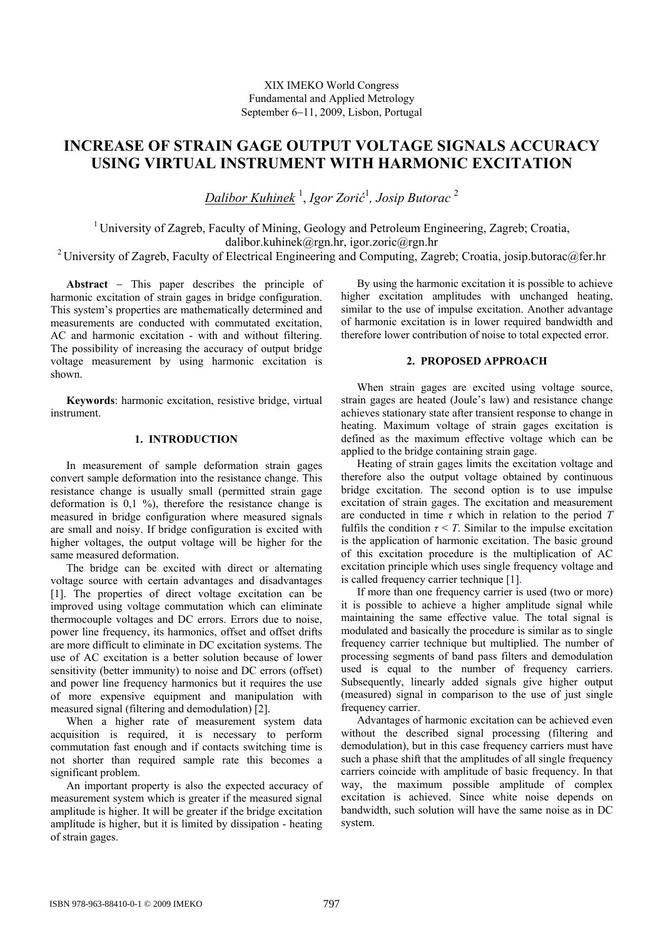# **INCREASE OF STRAIN GAGE OUTPUT VOLTAGE SIGNALS ACCURACY USING VIRTUAL INSTRUMENT WITH HARMONIC EXCITATION**

*Dalibor Kuhinek* <sup>1</sup> , *Igor Zorić* 1 *, Josip Butorac* <sup>2</sup>

<sup>1</sup> University of Zagreb, Faculty of Mining, Geology and Petroleum Engineering, Zagreb; Croatia, dalibor.kuhinek@rgn.hr, igor.zoric@rgn.hr

<sup>2</sup> University of Zagreb, Faculty of Electrical Engineering and Computing, Zagreb; Croatia, josip.butorac@fer.hr

**Abstract** − This paper describes the principle of harmonic excitation of strain gages in bridge configuration. This system's properties are mathematically determined and measurements are conducted with commutated excitation, AC and harmonic excitation - with and without filtering. The possibility of increasing the accuracy of output bridge voltage measurement by using harmonic excitation is shown.

**Keywords**: harmonic excitation, resistive bridge, virtual instrument.

## **1. INTRODUCTION**

In measurement of sample deformation strain gages convert sample deformation into the resistance change. This resistance change is usually small (permitted strain gage deformation is  $0,1\%$ , therefore the resistance change is measured in bridge configuration where measured signals are small and noisy. If bridge configuration is excited with higher voltages, the output voltage will be higher for the same measured deformation.

The bridge can be excited with direct or alternating voltage source with certain advantages and disadvantages [1]. The properties of direct voltage excitation can be improved using voltage commutation which can eliminate thermocouple voltages and DC errors. Errors due to noise, power line frequency, its harmonics, offset and offset drifts are more difficult to eliminate in DC excitation systems. The use of AC excitation is a better solution because of lower sensitivity (better immunity) to noise and DC errors (offset) and power line frequency harmonics but it requires the use of more expensive equipment and manipulation with measured signal (filtering and demodulation) [2].

When a higher rate of measurement system data acquisition is required, it is necessary to perform commutation fast enough and if contacts switching time is not shorter than required sample rate this becomes a significant problem.

An important property is also the expected accuracy of measurement system which is greater if the measured signal amplitude is higher. It will be greater if the bridge excitation amplitude is higher, but it is limited by dissipation - heating of strain gages.

By using the harmonic excitation it is possible to achieve higher excitation amplitudes with unchanged heating, similar to the use of impulse excitation. Another advantage of harmonic excitation is in lower required bandwidth and therefore lower contribution of noise to total expected error.

# **2. PROPOSED APPROACH**

When strain gages are excited using voltage source, strain gages are heated (Joule's law) and resistance change achieves stationary state after transient response to change in heating. Maximum voltage of strain gages excitation is defined as the maximum effective voltage which can be applied to the bridge containing strain gage.

Heating of strain gages limits the excitation voltage and therefore also the output voltage obtained by continuous bridge excitation. The second option is to use impulse excitation of strain gages. The excitation and measurement are conducted in time *τ* which in relation to the period *T* fulfils the condition  $\tau \leq T$ . Similar to the impulse excitation is the application of harmonic excitation. The basic ground of this excitation procedure is the multiplication of AC excitation principle which uses single frequency voltage and is called frequency carrier technique [1].

If more than one frequency carrier is used (two or more) it is possible to achieve a higher amplitude signal while maintaining the same effective value. The total signal is modulated and basically the procedure is similar as to single frequency carrier technique but multiplied. The number of processing segments of band pass filters and demodulation used is equal to the number of frequency carriers. Subsequently, linearly added signals give higher output (measured) signal in comparison to the use of just single frequency carrier.

Advantages of harmonic excitation can be achieved even without the described signal processing (filtering and demodulation), but in this case frequency carriers must have such a phase shift that the amplitudes of all single frequency carriers coincide with amplitude of basic frequency. In that way, the maximum possible amplitude of complex excitation is achieved. Since white noise depends on bandwidth, such solution will have the same noise as in DC system.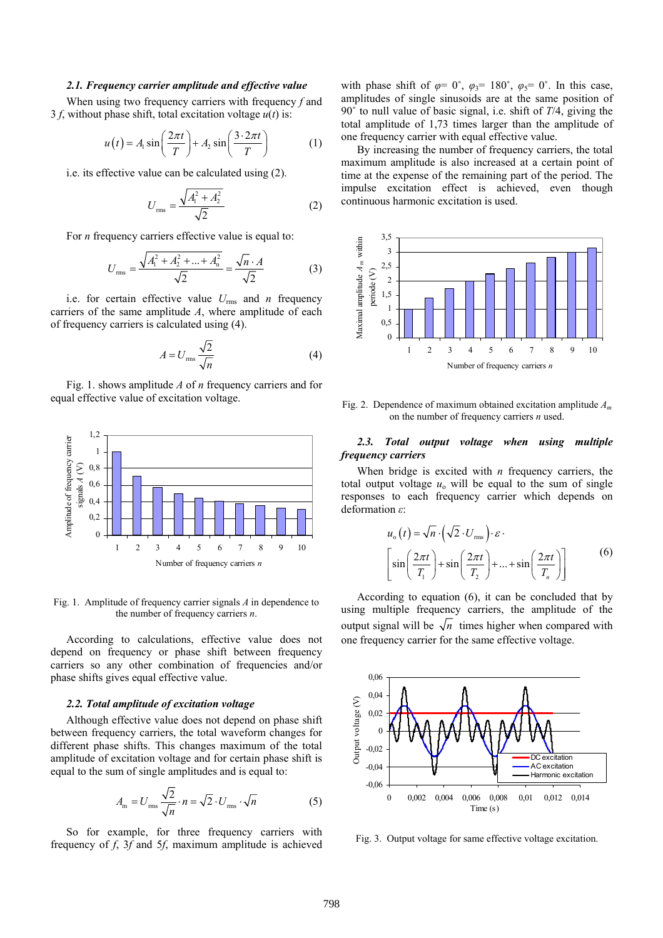#### *2.1. Frequency carrier amplitude and effective value*

When using two frequency carriers with frequency *f* and 3 f, without phase shift, total excitation voltage  $u(t)$  is:

$$
u(t) = A_1 \sin\left(\frac{2\pi t}{T}\right) + A_2 \sin\left(\frac{3 \cdot 2\pi t}{T}\right) \tag{1}
$$

i.e. its effective value can be calculated using (2).

$$
U_{\rm rms} = \frac{\sqrt{A_{\rm i}^2 + A_{\rm 2}^2}}{\sqrt{2}} \tag{2}
$$

For *n* frequency carriers effective value is equal to:

$$
U_{\rm rms} = \frac{\sqrt{A_1^2 + A_2^2 + \dots + A_n^2}}{\sqrt{2}} = \frac{\sqrt{n} \cdot A}{\sqrt{2}}
$$
 (3)

i.e. for certain effective value  $U_{\text{rms}}$  and *n* frequency carriers of the same amplitude *A*, where amplitude of each of frequency carriers is calculated using (4).

$$
A = U_{\text{rms}} \frac{\sqrt{2}}{\sqrt{n}} \tag{4}
$$

Fig. 1. shows amplitude *A* of *n* frequency carriers and for equal effective value of excitation voltage.



Fig. 1. Amplitude of frequency carrier signals *A* in dependence to the number of frequency carriers *n*.

According to calculations, effective value does not depend on frequency or phase shift between frequency carriers so any other combination of frequencies and/or phase shifts gives equal effective value.

#### *2.2. Total amplitude of excitation voltage*

Although effective value does not depend on phase shift between frequency carriers, the total waveform changes for different phase shifts. This changes maximum of the total amplitude of excitation voltage and for certain phase shift is equal to the sum of single amplitudes and is equal to:

$$
A_{\rm m} = U_{\rm rms} \frac{\sqrt{2}}{\sqrt{n}} \cdot n = \sqrt{2} \cdot U_{\rm rms} \cdot \sqrt{n}
$$
 (5)

So for example, for three frequency carriers with frequency of *f*, 3*f* and 5*f*, maximum amplitude is achieved with phase shift of  $\varphi = 0^{\circ}$ ,  $\varphi_3 = 180^{\circ}$ ,  $\varphi_5 = 0^{\circ}$ . In this case, amplitudes of single sinusoids are at the same position of 90˚ to null value of basic signal, i.e. shift of *T*/4, giving the total amplitude of 1,73 times larger than the amplitude of one frequency carrier with equal effective value.

By increasing the number of frequency carriers, the total maximum amplitude is also increased at a certain point of time at the expense of the remaining part of the period. The impulse excitation effect is achieved, even though continuous harmonic excitation is used.



Fig. 2. Dependence of maximum obtained excitation amplitude *Am* on the number of frequency carriers *n* used.

#### *2.3. Total output voltage when using multiple frequency carriers*

When bridge is excited with *n* frequency carriers, the total output voltage  $u_0$  will be equal to the sum of single responses to each frequency carrier which depends on deformation *ε*:

$$
u_{\text{o}}(t) = \sqrt{n} \cdot \left(\sqrt{2} \cdot U_{\text{rms}}\right) \cdot \varepsilon \cdot \left[\sin\left(\frac{2\pi t}{T_1}\right) + \sin\left(\frac{2\pi t}{T_2}\right) + \dots + \sin\left(\frac{2\pi t}{T_n}\right)\right]
$$
(6)

According to equation (6), it can be concluded that by using multiple frequency carriers, the amplitude of the output signal will be  $\sqrt{n}$  times higher when compared with one frequency carrier for the same effective voltage.



Fig. 3. Output voltage for same effective voltage excitation.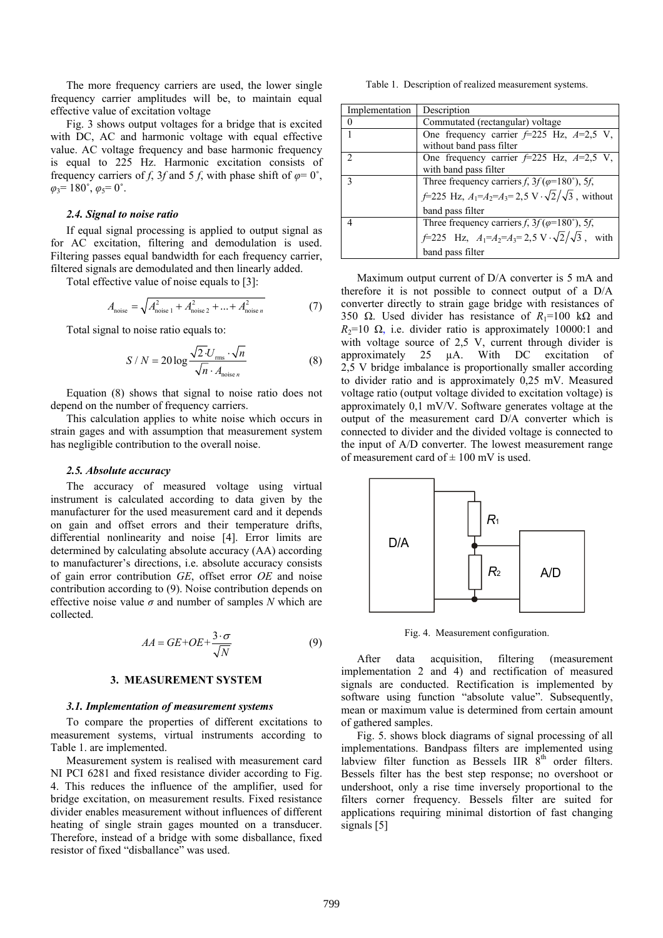The more frequency carriers are used, the lower single frequency carrier amplitudes will be, to maintain equal effective value of excitation voltage

Fig. 3 shows output voltages for a bridge that is excited with DC, AC and harmonic voltage with equal effective value. AC voltage frequency and base harmonic frequency is equal to 225 Hz. Harmonic excitation consists of frequency carriers of *f*, 3*f* and 5 *f*, with phase shift of  $\varphi = 0^{\circ}$ ,  $\varphi_3 = 180^\circ$ ,  $\varphi_5 = 0^\circ$ .

## *2.4. Signal to noise ratio*

If equal signal processing is applied to output signal as for AC excitation, filtering and demodulation is used. Filtering passes equal bandwidth for each frequency carrier, filtered signals are demodulated and then linearly added.

Total effective value of noise equals to [3]:

$$
A_{\text{noise}} = \sqrt{A_{\text{noise 1}}^2 + A_{\text{noise 2}}^2 + \dots + A_{\text{noise } n}^2}
$$
 (7)

Total signal to noise ratio equals to:

$$
S/N = 20 \log \frac{\sqrt{2} \cdot U_{\text{rms}} \cdot \sqrt{n}}{\sqrt{n} \cdot A_{\text{noise } n}}
$$
(8)

Equation (8) shows that signal to noise ratio does not depend on the number of frequency carriers.

This calculation applies to white noise which occurs in strain gages and with assumption that measurement system has negligible contribution to the overall noise.

#### *2.5. Absolute accuracy*

The accuracy of measured voltage using virtual instrument is calculated according to data given by the manufacturer for the used measurement card and it depends on gain and offset errors and their temperature drifts, differential nonlinearity and noise [4]. Error limits are determined by calculating absolute accuracy (AA) according to manufacturer's directions, i.e. absolute accuracy consists of gain error contribution *GE*, offset error *OE* and noise contribution according to (9). Noise contribution depends on effective noise value *σ* and number of samples *N* which are collected.

$$
AA = GE + OE + \frac{3 \cdot \sigma}{\sqrt{N}}
$$
 (9)

### **3. MEASUREMENT SYSTEM**

#### *3.1. Implementation of measurement systems*

To compare the properties of different excitations to measurement systems, virtual instruments according to Table 1. are implemented.

Measurement system is realised with measurement card NI PCI 6281 and fixed resistance divider according to Fig. 4. This reduces the influence of the amplifier, used for bridge excitation, on measurement results. Fixed resistance divider enables measurement without influences of different heating of single strain gages mounted on a transducer. Therefore, instead of a bridge with some disballance, fixed resistor of fixed "disballance" was used.

Table 1. Description of realized measurement systems.

| Implementation | Description                                                                                                                                             |  |  |  |
|----------------|---------------------------------------------------------------------------------------------------------------------------------------------------------|--|--|--|
| 0              | Commutated (rectangular) voltage                                                                                                                        |  |  |  |
|                | One frequency carrier $f=225$ Hz, $A=2,5$ V,<br>without band pass filter                                                                                |  |  |  |
| $\mathcal{D}$  | One frequency carrier $f=225$ Hz, $A=2,5$ V,<br>with band pass filter                                                                                   |  |  |  |
| $\mathbf{3}$   | Three frequency carriers f, $3f(\varphi=180^\circ)$ , 5f,<br>$f=225$ Hz, $A_1=A_2=A_3=2,5$ V $\cdot\sqrt{2}/\sqrt{3}$ , without<br>band pass filter     |  |  |  |
| Δ              | Three frequency carriers f, $3f(\varphi=180^\circ)$ , 5f,<br>$f=225$ Hz, $A_1=A_2=A_3=2,5 \text{ V} \cdot \sqrt{2}/\sqrt{3}$ , with<br>band pass filter |  |  |  |

Maximum output current of D/A converter is 5 mA and therefore it is not possible to connect output of a D/A converter directly to strain gage bridge with resistances of 350  $\Omega$ . Used divider has resistance of  $R_1$ =100 k $\Omega$  and  $R_2=10 \Omega$ , i.e. divider ratio is approximately 10000:1 and with voltage source of 2,5 V, current through divider is approximately 25 µA. With DC excitation of 2,5 V bridge imbalance is proportionally smaller according to divider ratio and is approximately 0,25 mV. Measured voltage ratio (output voltage divided to excitation voltage) is approximately 0,1 mV/V. Software generates voltage at the output of the measurement card D/A converter which is connected to divider and the divided voltage is connected to the input of A/D converter. The lowest measurement range of measurement card of  $\pm 100$  mV is used.



Fig. 4. Measurement configuration.

After data acquisition, filtering (measurement implementation 2 and 4) and rectification of measured signals are conducted. Rectification is implemented by software using function "absolute value". Subsequently, mean or maximum value is determined from certain amount of gathered samples.

Fig. 5. shows block diagrams of signal processing of all implementations. Bandpass filters are implemented using labview filter function as Bessels IIR  $8<sup>th</sup>$  order filters. Bessels filter has the best step response; no overshoot or undershoot, only a rise time inversely proportional to the filters corner frequency. Bessels filter are suited for applications requiring minimal distortion of fast changing signals [5]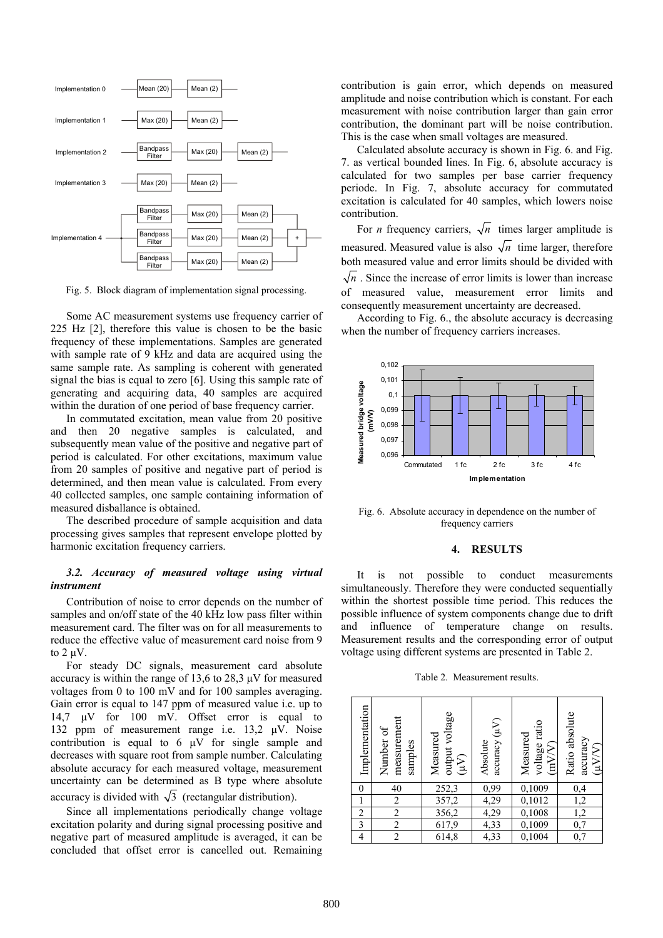

Fig. 5. Block diagram of implementation signal processing.

Some AC measurement systems use frequency carrier of 225 Hz [2], therefore this value is chosen to be the basic frequency of these implementations. Samples are generated with sample rate of 9 kHz and data are acquired using the same sample rate. As sampling is coherent with generated signal the bias is equal to zero [6]. Using this sample rate of generating and acquiring data, 40 samples are acquired within the duration of one period of base frequency carrier.

In commutated excitation, mean value from 20 positive and then 20 negative samples is calculated, and subsequently mean value of the positive and negative part of period is calculated. For other excitations, maximum value from 20 samples of positive and negative part of period is determined, and then mean value is calculated. From every 40 collected samples, one sample containing information of measured disballance is obtained.

The described procedure of sample acquisition and data processing gives samples that represent envelope plotted by harmonic excitation frequency carriers.

## *3.2. Accuracy of measured voltage using virtual instrument*

Contribution of noise to error depends on the number of samples and on/off state of the 40 kHz low pass filter within measurement card. The filter was on for all measurements to reduce the effective value of measurement card noise from 9 to 2 uV.

For steady DC signals, measurement card absolute accuracy is within the range of 13,6 to 28,3 µV for measured voltages from 0 to 100 mV and for 100 samples averaging. Gain error is equal to 147 ppm of measured value i.e. up to 14,7 µV for 100 mV. Offset error is equal to 132 ppm of measurement range i.e. 13,2 µV. Noise contribution is equal to  $6 \mu V$  for single sample and decreases with square root from sample number. Calculating absolute accuracy for each measured voltage, measurement uncertainty can be determined as B type where absolute accuracy is divided with  $\sqrt{3}$  (rectangular distribution).

Since all implementations periodically change voltage excitation polarity and during signal processing positive and negative part of measured amplitude is averaged, it can be concluded that offset error is cancelled out. Remaining contribution is gain error, which depends on measured amplitude and noise contribution which is constant. For each measurement with noise contribution larger than gain error contribution, the dominant part will be noise contribution. This is the case when small voltages are measured.

Calculated absolute accuracy is shown in Fig. 6. and Fig. 7. as vertical bounded lines. In Fig. 6, absolute accuracy is calculated for two samples per base carrier frequency periode. In Fig. 7, absolute accuracy for commutated excitation is calculated for 40 samples, which lowers noise contribution.

For *n* frequency carriers,  $\sqrt{n}$  times larger amplitude is measured. Measured value is also  $\sqrt{n}$  time larger, therefore both measured value and error limits should be divided with  $\sqrt{n}$ . Since the increase of error limits is lower than increase of measured value, measurement error limits and consequently measurement uncertainty are decreased.

According to Fig. 6., the absolute accuracy is decreasing when the number of frequency carriers increases.



Fig. 6. Absolute accuracy in dependence on the number of frequency carriers

#### **4. RESULTS**

It is not possible to conduct measurements simultaneously. Therefore they were conducted sequentially within the shortest possible time period. This reduces the possible influence of system components change due to drift and influence of temperature change on results. Measurement results and the corresponding error of output voltage using different systems are presented in Table 2.

Table 2. Measurement results.

| Implementation          | measurement<br>Number of<br>samples | output voltage<br>Measured<br>$(Y_{\mu})$ | accuracy (µV)<br>Absolute | voltage ratio<br>Measured<br>(mVV) | Ratio absolute<br>accuracy<br>(WV) |
|-------------------------|-------------------------------------|-------------------------------------------|---------------------------|------------------------------------|------------------------------------|
| 0                       | 40                                  | 252,3                                     | 0,99                      | 0,1009                             | 0,4                                |
|                         | $\overline{c}$                      |                                           | 4,29                      | $\frac{0,1012}{0}$                 |                                    |
| $\overline{2}$          | $\overline{2}$                      | $\frac{357,2}{356,2}$                     | 4,29                      | 0,1008                             | $\frac{1,2}{1,2}$                  |
| $\overline{\mathbf{3}}$ | $\overline{c}$                      | 617,9                                     | 4,33                      | 0,1009                             | 0,7                                |
| 4                       | $\overline{2}$                      | 614,8                                     | 4,33                      | 0,1004                             | $\overline{0,7}$                   |